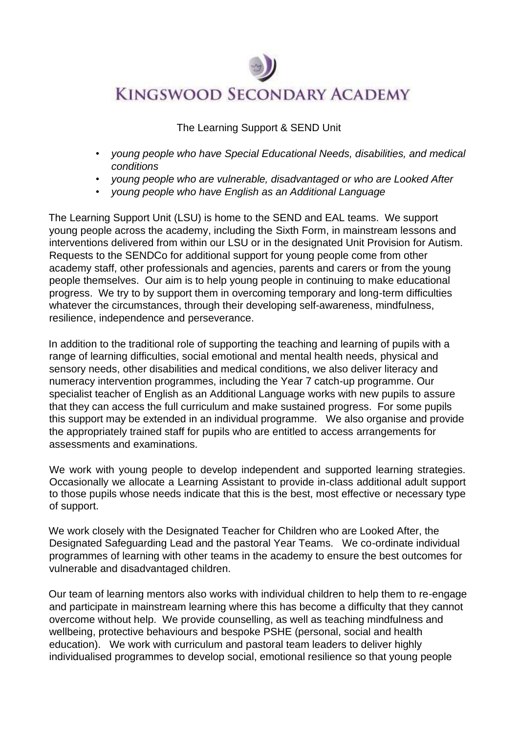## **KINGSWOOD SECONDARY ACADEMY**

The Learning Support & SEND Unit

- *young people who have Special Educational Needs, disabilities, and medical conditions*
- *young people who are vulnerable, disadvantaged or who are Looked After*
- *young people who have English as an Additional Language*

The Learning Support Unit (LSU) is home to the SEND and EAL teams. We support young people across the academy, including the Sixth Form, in mainstream lessons and interventions delivered from within our LSU or in the designated Unit Provision for Autism. Requests to the SENDCo for additional support for young people come from other academy staff, other professionals and agencies, parents and carers or from the young people themselves. Our aim is to help young people in continuing to make educational progress. We try to by support them in overcoming temporary and long-term difficulties whatever the circumstances, through their developing self-awareness, mindfulness, resilience, independence and perseverance.

In addition to the traditional role of supporting the teaching and learning of pupils with a range of learning difficulties, social emotional and mental health needs, physical and sensory needs, other disabilities and medical conditions, we also deliver literacy and numeracy intervention programmes, including the Year 7 catch-up programme. Our specialist teacher of English as an Additional Language works with new pupils to assure that they can access the full curriculum and make sustained progress. For some pupils this support may be extended in an individual programme. We also organise and provide the appropriately trained staff for pupils who are entitled to access arrangements for assessments and examinations.

We work with young people to develop independent and supported learning strategies. Occasionally we allocate a Learning Assistant to provide in-class additional adult support to those pupils whose needs indicate that this is the best, most effective or necessary type of support.

We work closely with the Designated Teacher for Children who are Looked After, the Designated Safeguarding Lead and the pastoral Year Teams. We co-ordinate individual programmes of learning with other teams in the academy to ensure the best outcomes for vulnerable and disadvantaged children.

Our team of learning mentors also works with individual children to help them to re-engage and participate in mainstream learning where this has become a difficulty that they cannot overcome without help. We provide counselling, as well as teaching mindfulness and wellbeing, protective behaviours and bespoke PSHE (personal, social and health education). We work with curriculum and pastoral team leaders to deliver highly individualised programmes to develop social, emotional resilience so that young people